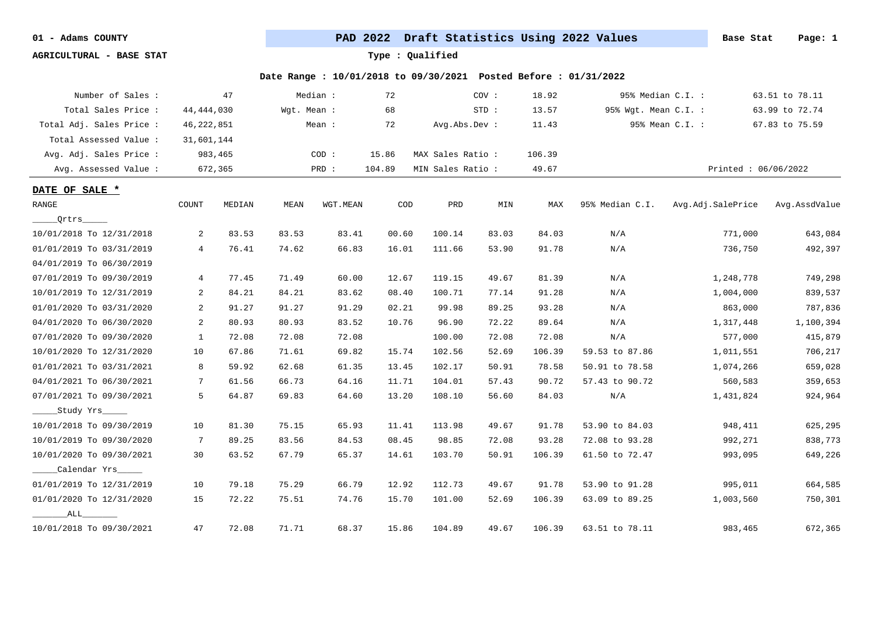**AGRICULTURAL - BASE STAT Type : Qualified**

| Number of Sales :        |                 | 47      |             | Median:  | 72                          |                   | cov:    | 18.92  |                      | 95% Median C.I. :   | 63.51 to 78.11 |
|--------------------------|-----------------|---------|-------------|----------|-----------------------------|-------------------|---------|--------|----------------------|---------------------|----------------|
| Total Sales Price:       | 44, 444, 030    |         | Wqt. Mean : |          | 68                          |                   | $STD$ : | 13.57  | 95% Wgt. Mean C.I. : |                     | 63.99 to 72.74 |
| Total Adj. Sales Price : | 46, 222, 851    |         |             | Mean :   | 72                          | Avg.Abs.Dev :     |         | 11.43  |                      | 95% Mean C.I. :     | 67.83 to 75.59 |
| Total Assessed Value:    | 31,601,144      |         |             |          |                             |                   |         |        |                      |                     |                |
| Avg. Adj. Sales Price :  |                 | 983,465 |             | COD:     | 15.86                       | MAX Sales Ratio:  |         | 106.39 |                      |                     |                |
| Avg. Assessed Value :    |                 | 672,365 |             | PRD :    | 104.89                      | MIN Sales Ratio : |         | 49.67  |                      | Printed: 06/06/2022 |                |
| DATE OF SALE *           |                 |         |             |          |                             |                   |         |        |                      |                     |                |
| <b>RANGE</b>             | COUNT           | MEDIAN  | MEAN        | WGT.MEAN | $\mathop{\rm COD}\nolimits$ | PRD               | MIN     | MAX    | 95% Median C.I.      | Avg.Adj.SalePrice   | Avg.AssdValue  |
| Qritrs                   |                 |         |             |          |                             |                   |         |        |                      |                     |                |
| 10/01/2018 To 12/31/2018 | 2               | 83.53   | 83.53       | 83.41    | 00.60                       | 100.14            | 83.03   | 84.03  | N/A                  | 771,000             | 643,084        |
| 01/01/2019 To 03/31/2019 | $4\overline{ }$ | 76.41   | 74.62       | 66.83    | 16.01                       | 111.66            | 53.90   | 91.78  | N/A                  | 736,750             | 492,397        |
| 04/01/2019 To 06/30/2019 |                 |         |             |          |                             |                   |         |        |                      |                     |                |
| 07/01/2019 To 09/30/2019 | 4               | 77.45   | 71.49       | 60.00    | 12.67                       | 119.15            | 49.67   | 81.39  | N/A                  | 1,248,778           | 749,298        |
| 10/01/2019 To 12/31/2019 | 2               | 84.21   | 84.21       | 83.62    | 08.40                       | 100.71            | 77.14   | 91.28  | N/A                  | 1,004,000           | 839,537        |
| 01/01/2020 To 03/31/2020 | 2               | 91.27   | 91.27       | 91.29    | 02.21                       | 99.98             | 89.25   | 93.28  | N/A                  | 863,000             | 787,836        |
| 04/01/2020 To 06/30/2020 | 2               | 80.93   | 80.93       | 83.52    | 10.76                       | 96.90             | 72.22   | 89.64  | N/A                  | 1,317,448           | 1,100,394      |
| 07/01/2020 To 09/30/2020 | 1               | 72.08   | 72.08       | 72.08    |                             | 100.00            | 72.08   | 72.08  | N/A                  | 577,000             | 415,879        |
| 10/01/2020 To 12/31/2020 | 10              | 67.86   | 71.61       | 69.82    | 15.74                       | 102.56            | 52.69   | 106.39 | 59.53 to 87.86       | 1,011,551           | 706,217        |
| 01/01/2021 To 03/31/2021 | 8               | 59.92   | 62.68       | 61.35    | 13.45                       | 102.17            | 50.91   | 78.58  | 50.91 to 78.58       | 1,074,266           | 659,028        |
| 04/01/2021 To 06/30/2021 | 7               | 61.56   | 66.73       | 64.16    | 11.71                       | 104.01            | 57.43   | 90.72  | 57.43 to 90.72       | 560,583             | 359,653        |
| 07/01/2021 To 09/30/2021 | 5               | 64.87   | 69.83       | 64.60    | 13.20                       | 108.10            | 56.60   | 84.03  | N/A                  | 1,431,824           | 924,964        |
| Study Yrs                |                 |         |             |          |                             |                   |         |        |                      |                     |                |
| 10/01/2018 To 09/30/2019 | 10              | 81.30   | 75.15       | 65.93    | 11.41                       | 113.98            | 49.67   | 91.78  | 53.90 to 84.03       | 948,411             | 625,295        |
| 10/01/2019 To 09/30/2020 | 7               | 89.25   | 83.56       | 84.53    | 08.45                       | 98.85             | 72.08   | 93.28  | 72.08 to 93.28       | 992,271             | 838,773        |
| 10/01/2020 To 09/30/2021 | 30              | 63.52   | 67.79       | 65.37    | 14.61                       | 103.70            | 50.91   | 106.39 | 61.50 to 72.47       | 993,095             | 649,226        |
| Calendar Yrs             |                 |         |             |          |                             |                   |         |        |                      |                     |                |
| 01/01/2019 To 12/31/2019 | 10              | 79.18   | 75.29       | 66.79    | 12.92                       | 112.73            | 49.67   | 91.78  | 53.90 to 91.28       | 995,011             | 664,585        |
| 01/01/2020 To 12/31/2020 | 15              | 72.22   | 75.51       | 74.76    | 15.70                       | 101.00            | 52.69   | 106.39 | 63.09 to 89.25       | 1,003,560           | 750,301        |
| ALL                      |                 |         |             |          |                             |                   |         |        |                      |                     |                |
| 10/01/2018 To 09/30/2021 | 47              | 72.08   | 71.71       | 68.37    | 15.86                       | 104.89            | 49.67   | 106.39 | 63.51 to 78.11       | 983,465             | 672,365        |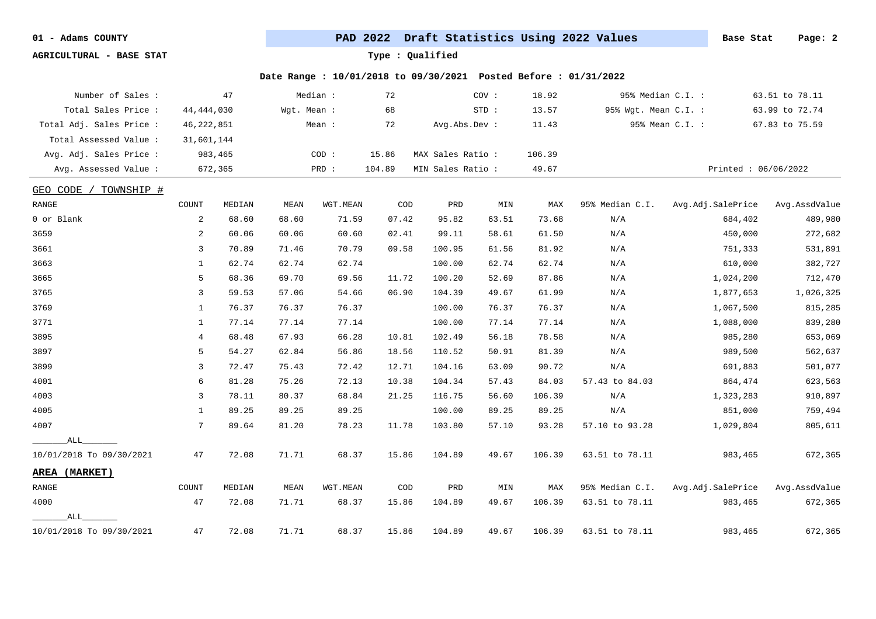**AGRICULTURAL - BASE STAT Type : Qualified**

| Number of Sales :             |              | 47      |             | Median : | 72                          |                   | COV:  | 18.92  |                      | 95% Median C.I. : | 63.51 to 78.11      |
|-------------------------------|--------------|---------|-------------|----------|-----------------------------|-------------------|-------|--------|----------------------|-------------------|---------------------|
| Total Sales Price :           | 44, 444, 030 |         | Wgt. Mean : |          | 68                          |                   | STD:  | 13.57  | 95% Wgt. Mean C.I. : |                   | 63.99 to 72.74      |
| Total Adj. Sales Price :      | 46,222,851   |         |             | Mean :   | 72                          | Avg.Abs.Dev :     |       | 11.43  |                      | 95% Mean C.I. :   | 67.83 to 75.59      |
| Total Assessed Value :        | 31,601,144   |         |             |          |                             |                   |       |        |                      |                   |                     |
| Avg. Adj. Sales Price :       |              | 983,465 |             | COD:     | 15.86                       | MAX Sales Ratio : |       | 106.39 |                      |                   |                     |
| Avg. Assessed Value :         |              | 672,365 |             | PRD :    | 104.89                      | MIN Sales Ratio : |       | 49.67  |                      |                   | Printed: 06/06/2022 |
| GEO CODE<br>TOWNSHIP #        |              |         |             |          |                             |                   |       |        |                      |                   |                     |
| RANGE                         | COUNT        | MEDIAN  | MEAN        | WGT.MEAN | $\mathop{\rm COD}\nolimits$ | PRD               | MIN   | MAX    | 95% Median C.I.      | Avg.Adj.SalePrice | Avg.AssdValue       |
| 0 or Blank                    | 2            | 68.60   | 68.60       | 71.59    | 07.42                       | 95.82             | 63.51 | 73.68  | N/A                  | 684,402           | 489,980             |
| 3659                          | 2            | 60.06   | 60.06       | 60.60    | 02.41                       | 99.11             | 58.61 | 61.50  | N/A                  | 450,000           | 272,682             |
| 3661                          | 3            | 70.89   | 71.46       | 70.79    | 09.58                       | 100.95            | 61.56 | 81.92  | N/A                  | 751,333           | 531,891             |
| 3663                          | 1            | 62.74   | 62.74       | 62.74    |                             | 100.00            | 62.74 | 62.74  | N/A                  | 610,000           | 382,727             |
| 3665                          | 5            | 68.36   | 69.70       | 69.56    | 11.72                       | 100.20            | 52.69 | 87.86  | N/A                  | 1,024,200         | 712,470             |
| 3765                          | 3            | 59.53   | 57.06       | 54.66    | 06.90                       | 104.39            | 49.67 | 61.99  | N/A                  | 1,877,653         | 1,026,325           |
| 3769                          | 1            | 76.37   | 76.37       | 76.37    |                             | 100.00            | 76.37 | 76.37  | N/A                  | 1,067,500         | 815,285             |
| 3771                          | 1            | 77.14   | 77.14       | 77.14    |                             | 100.00            | 77.14 | 77.14  | N/A                  | 1,088,000         | 839,280             |
| 3895                          | 4            | 68.48   | 67.93       | 66.28    | 10.81                       | 102.49            | 56.18 | 78.58  | N/A                  | 985,280           | 653,069             |
| 3897                          | 5            | 54.27   | 62.84       | 56.86    | 18.56                       | 110.52            | 50.91 | 81.39  | N/A                  | 989,500           | 562,637             |
| 3899                          | 3            | 72.47   | 75.43       | 72.42    | 12.71                       | 104.16            | 63.09 | 90.72  | N/A                  | 691,883           | 501,077             |
| 4001                          | 6            | 81.28   | 75.26       | 72.13    | 10.38                       | 104.34            | 57.43 | 84.03  | 57.43 to 84.03       | 864,474           | 623,563             |
| 4003                          | 3            | 78.11   | 80.37       | 68.84    | 21.25                       | 116.75            | 56.60 | 106.39 | N/A                  | 1,323,283         | 910,897             |
| 4005                          | 1            | 89.25   | 89.25       | 89.25    |                             | 100.00            | 89.25 | 89.25  | N/A                  | 851,000           | 759,494             |
| 4007                          | 7            | 89.64   | 81.20       | 78.23    | 11.78                       | 103.80            | 57.10 | 93.28  | 57.10 to 93.28       | 1,029,804         | 805,611             |
| ALL                           |              |         |             |          |                             |                   |       |        |                      |                   |                     |
| 10/01/2018 To 09/30/2021      | 47           | 72.08   | 71.71       | 68.37    | 15.86                       | 104.89            | 49.67 | 106.39 | 63.51 to 78.11       | 983,465           | 672,365             |
| AREA (MARKET)                 |              |         |             |          |                             |                   |       |        |                      |                   |                     |
| $\ensuremath{\mathsf{RANGE}}$ | COUNT        | MEDIAN  | MEAN        | WGT.MEAN | $\mathop{\rm COD}\nolimits$ | PRD               | MIN   | MAX    | 95% Median C.I.      | Avg.Adj.SalePrice | Avg.AssdValue       |
| 4000                          | 47           | 72.08   | 71.71       | 68.37    | 15.86                       | 104.89            | 49.67 | 106.39 | 63.51 to 78.11       | 983,465           | 672,365             |
| ALL                           |              |         |             |          |                             |                   |       |        |                      |                   |                     |
| 10/01/2018 To 09/30/2021      | 47           | 72.08   | 71.71       | 68.37    | 15.86                       | 104.89            | 49.67 | 106.39 | 63.51 to 78.11       | 983,465           | 672,365             |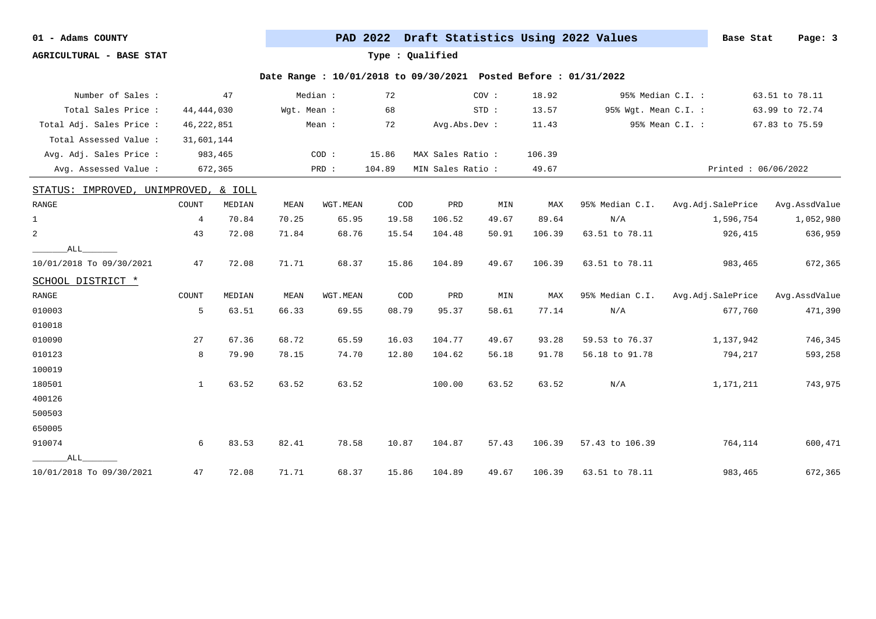**AGRICULTURAL - BASE STAT Type : Qualified**

| Number of Sales :        |              | 47                 |             | Median : | 72                          |                   | COV:  | 18.92  |                      | 95% Median C.I. :   | 63.51 to 78.11 |
|--------------------------|--------------|--------------------|-------------|----------|-----------------------------|-------------------|-------|--------|----------------------|---------------------|----------------|
| Total Sales Price :      | 44, 444, 030 |                    | Wqt. Mean : |          | 68                          |                   | STD:  | 13.57  | 95% Wgt. Mean C.I. : |                     | 63.99 to 72.74 |
| Total Adj. Sales Price : | 46, 222, 851 |                    |             | Mean :   | 72                          | Avg.Abs.Dev :     |       | 11.43  |                      | 95% Mean C.I. :     | 67.83 to 75.59 |
| Total Assessed Value :   | 31,601,144   |                    |             |          |                             |                   |       |        |                      |                     |                |
| Avg. Adj. Sales Price :  |              | 983,465            |             | COD:     | 15.86                       | MAX Sales Ratio : |       | 106.39 |                      |                     |                |
| Avg. Assessed Value :    |              | 672,365            |             | PRD :    | 104.89                      | MIN Sales Ratio : |       | 49.67  |                      | Printed: 06/06/2022 |                |
| STATUS: IMPROVED,        |              | UNIMPROVED, & IOLL |             |          |                             |                   |       |        |                      |                     |                |
| RANGE                    | COUNT        | MEDIAN             | MEAN        | WGT.MEAN | $\mathop{\rm COD}\nolimits$ | PRD               | MIN   | MAX    | 95% Median C.I.      | Avg.Adj.SalePrice   | Avg.AssdValue  |
| $\mathbf{1}$             | 4            | 70.84              | 70.25       | 65.95    | 19.58                       | 106.52            | 49.67 | 89.64  | N/A                  | 1,596,754           | 1,052,980      |
| $\overline{a}$           | 43           | 72.08              | 71.84       | 68.76    | 15.54                       | 104.48            | 50.91 | 106.39 | 63.51 to 78.11       | 926,415             | 636,959        |
| ALL                      |              |                    |             |          |                             |                   |       |        |                      |                     |                |
| 10/01/2018 To 09/30/2021 | 47           | 72.08              | 71.71       | 68.37    | 15.86                       | 104.89            | 49.67 | 106.39 | 63.51 to 78.11       | 983,465             | 672,365        |
| SCHOOL DISTRICT *        |              |                    |             |          |                             |                   |       |        |                      |                     |                |
| RANGE                    | COUNT        | MEDIAN             | MEAN        | WGT.MEAN | COD                         | PRD               | MIN   | MAX    | 95% Median C.I.      | Avg.Adj.SalePrice   | Avg.AssdValue  |
| 010003                   | 5            | 63.51              | 66.33       | 69.55    | 08.79                       | 95.37             | 58.61 | 77.14  | N/A                  | 677,760             | 471,390        |
| 010018                   |              |                    |             |          |                             |                   |       |        |                      |                     |                |
| 010090                   | 27           | 67.36              | 68.72       | 65.59    | 16.03                       | 104.77            | 49.67 | 93.28  | 59.53 to 76.37       | 1,137,942           | 746,345        |
| 010123                   | 8            | 79.90              | 78.15       | 74.70    | 12.80                       | 104.62            | 56.18 | 91.78  | 56.18 to 91.78       | 794,217             | 593,258        |
| 100019                   |              |                    |             |          |                             |                   |       |        |                      |                     |                |
| 180501                   | $\mathbf{1}$ | 63.52              | 63.52       | 63.52    |                             | 100.00            | 63.52 | 63.52  | N/A                  | 1,171,211           | 743,975        |
| 400126                   |              |                    |             |          |                             |                   |       |        |                      |                     |                |
| 500503                   |              |                    |             |          |                             |                   |       |        |                      |                     |                |
| 650005                   |              |                    |             |          |                             |                   |       |        |                      |                     |                |
| 910074                   | 6            | 83.53              | 82.41       | 78.58    | 10.87                       | 104.87            | 57.43 | 106.39 | 57.43 to 106.39      | 764,114             | 600,471        |
| ALL                      |              |                    |             |          |                             |                   |       |        |                      |                     |                |
| 10/01/2018 To 09/30/2021 | 47           | 72.08              | 71.71       | 68.37    | 15.86                       | 104.89            | 49.67 | 106.39 | 63.51 to 78.11       | 983,465             | 672,365        |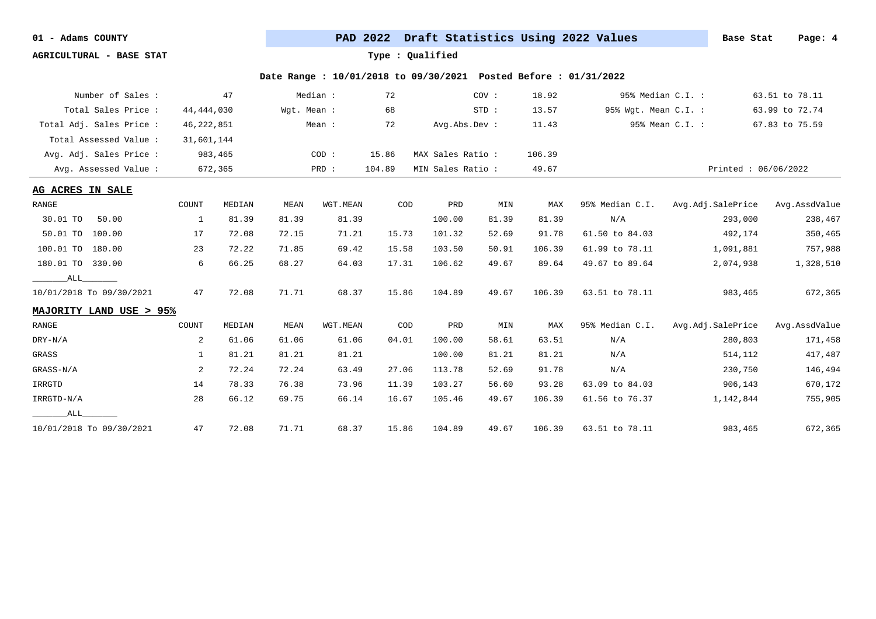**AGRICULTURAL - BASE STAT Type : Qualified**

| Number of Sales :        |              | 47      |             | Median : | 72     |                   | COV:  | 18.92  |                      | 95% Median C.I. : | 63.51 to 78.11      |
|--------------------------|--------------|---------|-------------|----------|--------|-------------------|-------|--------|----------------------|-------------------|---------------------|
| Total Sales Price:       | 44,444,030   |         | Wqt. Mean : |          | 68     |                   | STD:  | 13.57  | 95% Wgt. Mean C.I. : |                   | 63.99 to 72.74      |
| Total Adj. Sales Price : | 46, 222, 851 |         |             | Mean:    | 72     | Avg.Abs.Dev :     |       | 11.43  |                      | 95% Mean C.I. :   | 67.83 to 75.59      |
| Total Assessed Value:    | 31,601,144   |         |             |          |        |                   |       |        |                      |                   |                     |
| Avg. Adj. Sales Price :  |              | 983,465 |             | COD:     | 15.86  | MAX Sales Ratio : |       | 106.39 |                      |                   |                     |
| Avg. Assessed Value :    |              | 672,365 |             | PRD :    | 104.89 | MIN Sales Ratio : |       | 49.67  |                      |                   | Printed: 06/06/2022 |
| AG ACRES IN SALE         |              |         |             |          |        |                   |       |        |                      |                   |                     |
| RANGE                    | COUNT        | MEDIAN  | MEAN        | WGT.MEAN | COD    | PRD               | MIN   | MAX    | 95% Median C.I.      | Avg.Adj.SalePrice | Avg.AssdValue       |
| 30.01 TO<br>50.00        | 1            | 81.39   | 81.39       | 81.39    |        | 100.00            | 81.39 | 81.39  | N/A                  | 293,000           | 238,467             |
| 50.01 TO<br>100.00       | 17           | 72.08   | 72.15       | 71.21    | 15.73  | 101.32            | 52.69 | 91.78  | 61.50 to 84.03       | 492,174           | 350,465             |
| 100.01 TO<br>180.00      | 23           | 72.22   | 71.85       | 69.42    | 15.58  | 103.50            | 50.91 | 106.39 | 61.99 to 78.11       | 1,091,881         | 757,988             |
| 180.01 TO 330.00         | 6            | 66.25   | 68.27       | 64.03    | 17.31  | 106.62            | 49.67 | 89.64  | 49.67 to 89.64       | 2,074,938         | 1,328,510           |
| ALL                      |              |         |             |          |        |                   |       |        |                      |                   |                     |
| 10/01/2018 To 09/30/2021 | 47           | 72.08   | 71.71       | 68.37    | 15.86  | 104.89            | 49.67 | 106.39 | 63.51 to 78.11       | 983,465           | 672,365             |
| MAJORITY LAND USE > 95%  |              |         |             |          |        |                   |       |        |                      |                   |                     |
| RANGE                    | COUNT        | MEDIAN  | MEAN        | WGT.MEAN | COD    | PRD               | MIN   | MAX    | 95% Median C.I.      | Avg.Adj.SalePrice | Avg.AssdValue       |
| $DRY-N/A$                | 2            | 61.06   | 61.06       | 61.06    | 04.01  | 100.00            | 58.61 | 63.51  | N/A                  | 280,803           | 171,458             |
| GRASS                    | $\mathbf{1}$ | 81.21   | 81.21       | 81.21    |        | 100.00            | 81.21 | 81.21  | N/A                  | 514,112           | 417,487             |
| GRASS-N/A                | 2            | 72.24   | 72.24       | 63.49    | 27.06  | 113.78            | 52.69 | 91.78  | N/A                  | 230,750           | 146,494             |
| IRRGTD                   | 14           | 78.33   | 76.38       | 73.96    | 11.39  | 103.27            | 56.60 | 93.28  | 63.09 to 84.03       | 906,143           | 670,172             |
| IRRGTD-N/A               | 28           | 66.12   | 69.75       | 66.14    | 16.67  | 105.46            | 49.67 | 106.39 | 61.56 to 76.37       | 1,142,844         | 755,905             |
| ALL                      |              |         |             |          |        |                   |       |        |                      |                   |                     |
| 10/01/2018 To 09/30/2021 | 47           | 72.08   | 71.71       | 68.37    | 15.86  | 104.89            | 49.67 | 106.39 | 63.51 to 78.11       | 983,465           | 672,365             |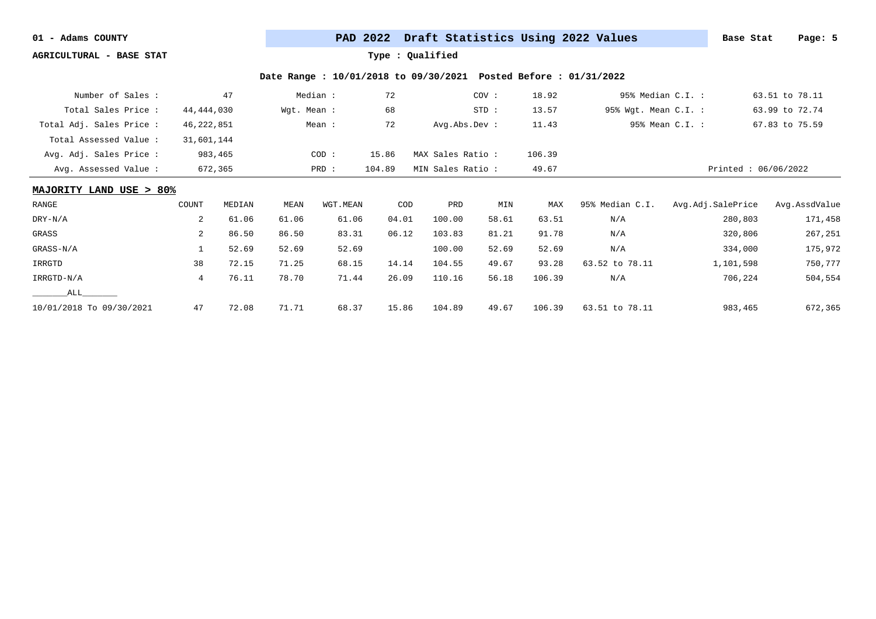**AGRICULTURAL - BASE STAT Type : Qualified**

| Number of Sales :        |                | 47      |             | Median : | 72     |                   | COV:    | 18.92  |                      | 95% Median C.I. :   | 63.51 to 78.11 |
|--------------------------|----------------|---------|-------------|----------|--------|-------------------|---------|--------|----------------------|---------------------|----------------|
| Total Sales Price:       | 44,444,030     |         | Wgt. Mean : |          | 68     |                   | $STD$ : | 13.57  | 95% Wgt. Mean C.I. : |                     | 63.99 to 72.74 |
| Total Adj. Sales Price : | 46, 222, 851   |         |             | Mean :   | 72     | Avg.Abs.Dev :     |         | 11.43  |                      | 95% Mean C.I. :     | 67.83 to 75.59 |
| Total Assessed Value:    | 31,601,144     |         |             |          |        |                   |         |        |                      |                     |                |
| Avg. Adj. Sales Price :  |                | 983,465 |             | COD:     | 15.86  | MAX Sales Ratio:  |         | 106.39 |                      |                     |                |
| Avg. Assessed Value:     |                | 672,365 |             | PRD :    | 104.89 | MIN Sales Ratio : |         | 49.67  |                      | Printed: 06/06/2022 |                |
| MAJORITY LAND USE > 80%  |                |         |             |          |        |                   |         |        |                      |                     |                |
| RANGE                    | COUNT          | MEDIAN  | MEAN        | WGT.MEAN | COD    | PRD               | MIN     | MAX    | 95% Median C.I.      | Avg.Adj.SalePrice   | Avg.AssdValue  |
| DRY-N/A                  | 2              | 61.06   | 61.06       | 61.06    | 04.01  | 100.00            | 58.61   | 63.51  | N/A                  | 280,803             | 171,458        |
| GRASS                    | 2              | 86.50   | 86.50       | 83.31    | 06.12  | 103.83            | 81.21   | 91.78  | N/A                  | 320,806             | 267,251        |
| GRASS-N/A                |                | 52.69   | 52.69       | 52.69    |        | 100.00            | 52.69   | 52.69  | N/A                  | 334,000             | 175,972        |
| IRRGTD                   | 38             | 72.15   | 71.25       | 68.15    | 14.14  | 104.55            | 49.67   | 93.28  | 63.52 to 78.11       | 1,101,598           | 750,777        |
| IRRGTD-N/A               | $\overline{4}$ | 76.11   | 78.70       | 71.44    | 26.09  | 110.16            | 56.18   | 106.39 | N/A                  | 706,224             | 504,554        |
| ALL                      |                |         |             |          |        |                   |         |        |                      |                     |                |
| 10/01/2018 To 09/30/2021 | 47             | 72.08   | 71.71       | 68.37    | 15.86  | 104.89            | 49.67   | 106.39 | 63.51 to 78.11       | 983,465             | 672,365        |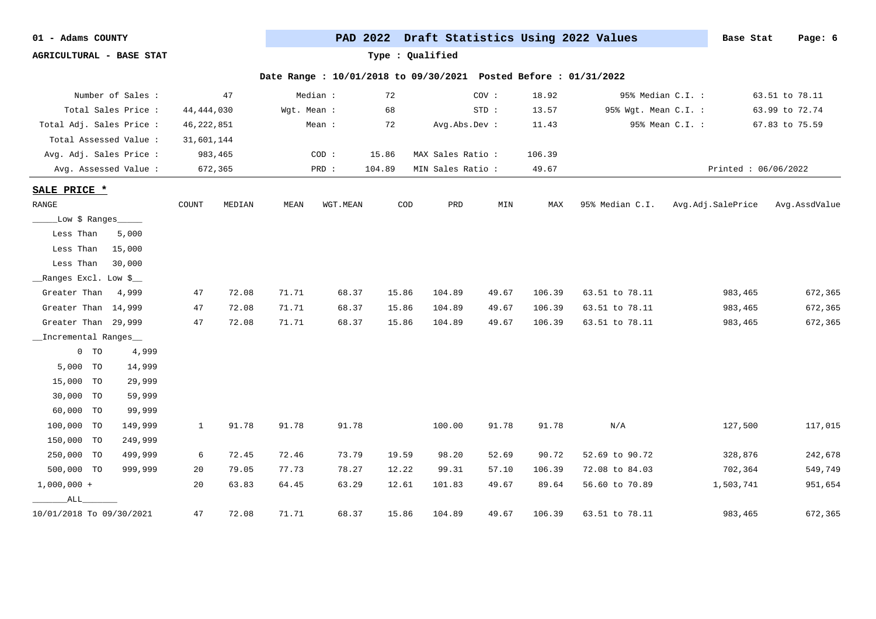| 01 |  | Adams COUNTY |
|----|--|--------------|
|----|--|--------------|

PAD 2022 Draft Statistics Using 2022 Values **Base Stat** Page: 6

**AGRICULTURAL - BASE STAT Type : Qualified**

|                               | Number of Sales :     |              | 47      |             | Median : | 72     |                   | COV:    | 18.92  |                      | 95% Median C.I. :   | 63.51 to 78.11 |
|-------------------------------|-----------------------|--------------|---------|-------------|----------|--------|-------------------|---------|--------|----------------------|---------------------|----------------|
|                               | Total Sales Price :   | 44, 444, 030 |         | Wgt. Mean : |          | 68     |                   | $STD$ : | 13.57  | 95% Wgt. Mean C.I. : |                     | 63.99 to 72.74 |
| Total Adj. Sales Price :      |                       | 46, 222, 851 |         |             | Mean :   | 72     | Avg.Abs.Dev :     |         | 11.43  |                      | 95% Mean C.I. :     | 67.83 to 75.59 |
| Total Assessed Value :        |                       | 31,601,144   |         |             |          |        |                   |         |        |                      |                     |                |
| Avg. Adj. Sales Price :       |                       |              | 983,465 |             | COD:     | 15.86  | MAX Sales Ratio : |         | 106.39 |                      |                     |                |
|                               | Avg. Assessed Value : |              | 672,365 |             | PRD :    | 104.89 | MIN Sales Ratio : |         | 49.67  |                      | Printed: 06/06/2022 |                |
| SALE PRICE *                  |                       |              |         |             |          |        |                   |         |        |                      |                     |                |
| $\ensuremath{\mathsf{RANGE}}$ |                       | COUNT        | MEDIAN  | MEAN        | WGT.MEAN | COD    | PRD               | MIN     | MAX    | 95% Median C.I.      | Avg.Adj.SalePrice   | Avg.AssdValue  |
|                               |                       |              |         |             |          |        |                   |         |        |                      |                     |                |
| _Low \$ Ranges_               |                       |              |         |             |          |        |                   |         |        |                      |                     |                |
| Less Than                     | 5,000                 |              |         |             |          |        |                   |         |        |                      |                     |                |
| Less Than                     | 15,000                |              |         |             |          |        |                   |         |        |                      |                     |                |
| Less Than                     | 30,000                |              |         |             |          |        |                   |         |        |                      |                     |                |
| __Ranges Excl. Low \$__       |                       |              |         |             |          |        |                   |         |        |                      |                     |                |
| Greater Than                  | 4,999                 | 47           | 72.08   | 71.71       | 68.37    | 15.86  | 104.89            | 49.67   | 106.39 | 63.51 to 78.11       | 983,465             | 672,365        |
| Greater Than 14,999           |                       | 47           | 72.08   | 71.71       | 68.37    | 15.86  | 104.89            | 49.67   | 106.39 | 63.51 to 78.11       | 983,465             | 672,365        |
| Greater Than 29,999           |                       | 47           | 72.08   | 71.71       | 68.37    | 15.86  | 104.89            | 49.67   | 106.39 | 63.51 to 78.11       | 983,465             | 672,365        |
| _Incremental Ranges           |                       |              |         |             |          |        |                   |         |        |                      |                     |                |
| $0$ TO                        | 4,999                 |              |         |             |          |        |                   |         |        |                      |                     |                |
| 5,000 TO                      | 14,999                |              |         |             |          |        |                   |         |        |                      |                     |                |
| 15,000 TO                     | 29,999                |              |         |             |          |        |                   |         |        |                      |                     |                |
| 30,000 TO                     | 59,999                |              |         |             |          |        |                   |         |        |                      |                     |                |
| 60,000 TO                     | 99,999                |              |         |             |          |        |                   |         |        |                      |                     |                |
| 100,000 TO                    | 149,999               | $\mathbf{1}$ | 91.78   | 91.78       | 91.78    |        | 100.00            | 91.78   | 91.78  | N/A                  | 127,500             | 117,015        |
| 150,000 TO                    | 249,999               |              |         |             |          |        |                   |         |        |                      |                     |                |
| 250,000 TO                    | 499,999               | 6            | 72.45   | 72.46       | 73.79    | 19.59  | 98.20             | 52.69   | 90.72  | 52.69 to 90.72       | 328,876             | 242,678        |
| 500,000 TO                    | 999,999               | 20           | 79.05   | 77.73       | 78.27    | 12.22  | 99.31             | 57.10   | 106.39 | 72.08 to 84.03       | 702,364             | 549,749        |
| $1,000,000 +$                 |                       | 20           | 63.83   | 64.45       | 63.29    | 12.61  | 101.83            | 49.67   | 89.64  | 56.60 to 70.89       | 1,503,741           | 951,654        |
| ALL                           |                       |              |         |             |          |        |                   |         |        |                      |                     |                |
| 10/01/2018 To 09/30/2021      |                       | 47           | 72.08   | 71.71       | 68.37    | 15.86  | 104.89            | 49.67   | 106.39 | 63.51 to 78.11       | 983,465             | 672,365        |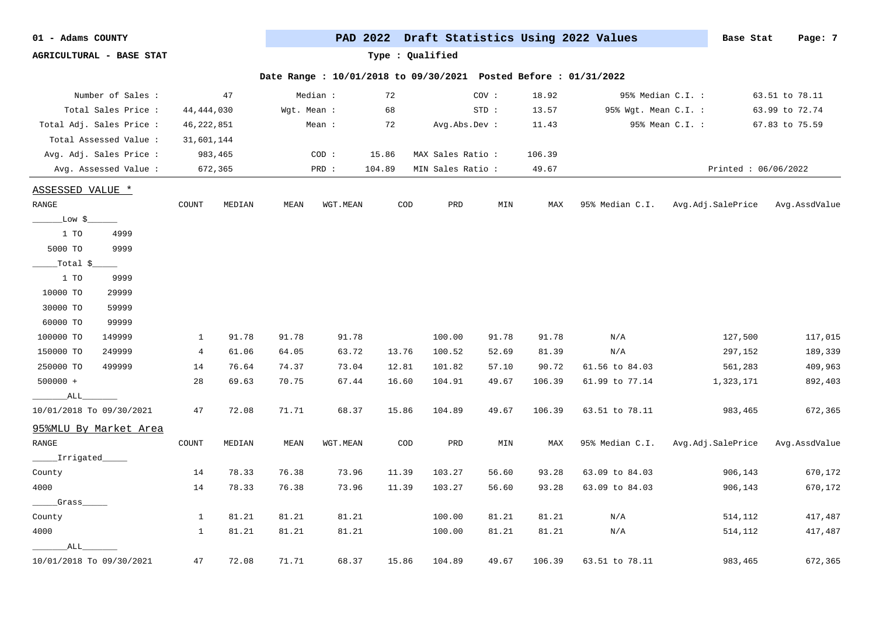| 01<br>Adams | COUNTY |
|-------------|--------|
|-------------|--------|

PAD 2022 Draft Statistics Using 2022 Values **Base Stat** Page: 7

**AGRICULTURAL - BASE STAT Type : Qualified**

| Number of Sales :        |              | 47           |             | Median : | 72             |                   | COV:           | 18.92  |                      | 95% Median C.I. :   | 63.51 to 78.11 |
|--------------------------|--------------|--------------|-------------|----------|----------------|-------------------|----------------|--------|----------------------|---------------------|----------------|
| Total Sales Price :      | 44, 444, 030 |              | Wgt. Mean : |          | 68             |                   | STD:           | 13.57  | 95% Wgt. Mean C.I. : |                     | 63.99 to 72.74 |
| Total Adj. Sales Price : | 46, 222, 851 |              |             | Mean :   | 72             | Avg.Abs.Dev :     |                | 11.43  |                      | 95% Mean C.I. :     | 67.83 to 75.59 |
| Total Assessed Value :   | 31,601,144   |              |             |          |                |                   |                |        |                      |                     |                |
| Avg. Adj. Sales Price :  |              | 983,465      |             | COD:     | 15.86          | MAX Sales Ratio : |                | 106.39 |                      |                     |                |
| Avg. Assessed Value :    |              | 672,365      |             | PRD :    | 104.89         | MIN Sales Ratio : |                | 49.67  |                      | Printed: 06/06/2022 |                |
| ASSESSED VALUE *         |              |              |             |          |                |                   |                |        |                      |                     |                |
| RANGE                    | COUNT        | MEDIAN       | MEAN        | WGT.MEAN | COD            | PRD               | $\texttt{MIN}$ | MAX    | 95% Median C.I.      | Avg.Adj.SalePrice   | Avg.AssdValue  |
| _Low \$_                 |              |              |             |          |                |                   |                |        |                      |                     |                |
| 1 TO<br>4999             |              |              |             |          |                |                   |                |        |                      |                     |                |
| 9999<br>5000 TO          |              |              |             |          |                |                   |                |        |                      |                     |                |
| _Total \$_               |              |              |             |          |                |                   |                |        |                      |                     |                |
| 1 TO<br>9999             |              |              |             |          |                |                   |                |        |                      |                     |                |
| 29999<br>10000 TO        |              |              |             |          |                |                   |                |        |                      |                     |                |
| 30000 TO<br>59999        |              |              |             |          |                |                   |                |        |                      |                     |                |
| 60000 TO<br>99999        |              |              |             |          |                |                   |                |        |                      |                     |                |
| 100000 TO<br>149999      | $\mathbf{1}$ | 91.78        | 91.78       | 91.78    |                | 100.00            | 91.78          | 91.78  | N/A                  | 127,500             | 117,015        |
| 150000 TO<br>249999      | 4            | 61.06        | 64.05       | 63.72    | 13.76          | 100.52            | 52.69          | 81.39  | N/A                  | 297,152             | 189,339        |
| 250000 TO<br>499999      | 14           | 76.64        | 74.37       | 73.04    | 12.81          | 101.82            | 57.10          | 90.72  | 61.56 to 84.03       | 561,283             | 409,963        |
| $500000 +$               | 28           | 69.63        | 70.75       | 67.44    | 16.60          | 104.91            | 49.67          | 106.39 | 61.99 to 77.14       | 1,323,171           | 892,403        |
| ALL_                     |              |              |             |          |                |                   |                |        |                      |                     |                |
| 10/01/2018 To 09/30/2021 | 47           | 72.08        | 71.71       | 68.37    | 15.86          | 104.89            | 49.67          | 106.39 | 63.51 to 78.11       | 983,465             | 672,365        |
| 95%MLU By Market Area    |              |              |             |          |                |                   |                |        |                      |                     |                |
| RANGE                    | COUNT        | $\tt MEDIAN$ | MEAN        | WGT.MEAN | $\texttt{COD}$ | PRD               | MIN            | MAX    | 95% Median C.I.      | Avg.Adj.SalePrice   | Avg.AssdValue  |
| ______Irrigated__        |              |              |             |          |                |                   |                |        |                      |                     |                |
| County                   | 14           | 78.33        | 76.38       | 73.96    | 11.39          | 103.27            | 56.60          | 93.28  | 63.09 to 84.03       | 906,143             | 670,172        |
| 4000                     | 14           | 78.33        | 76.38       | 73.96    | 11.39          | 103.27            | 56.60          | 93.28  | 63.09 to 84.03       | 906,143             | 670,172        |
| Grass                    |              |              |             |          |                |                   |                |        |                      |                     |                |
| County                   | 1            | 81.21        | 81.21       | 81.21    |                | 100.00            | 81.21          | 81.21  | N/A                  | 514,112             | 417,487        |
| 4000                     | 1            | 81.21        | 81.21       | 81.21    |                | 100.00            | 81.21          | 81.21  | N/A                  | 514,112             | 417,487        |
| ALL                      |              |              |             |          |                |                   |                |        |                      |                     |                |
| 10/01/2018 To 09/30/2021 | 47           | 72.08        | 71.71       | 68.37    | 15.86          | 104.89            | 49.67          | 106.39 | 63.51 to 78.11       | 983,465             | 672,365        |